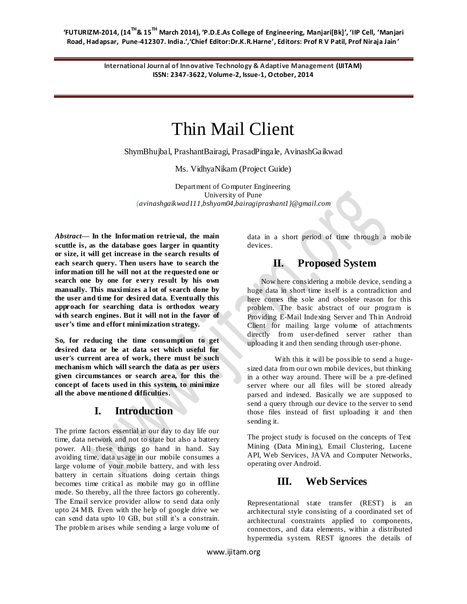**'FUTURIZM-2014, (14TH& 15TH March 2014), 'P.D.E.As College of Engineering, Manjari[Bk]', 'IIP Cell, 'Manjari Road, Hadapsar, Pune-412307. India.','Chief Editor:Dr.K.R.Harne', Editors: Prof R V Patil, Prof Niraja Jain '**

> **International Journal of Innovative Technology & Adaptive Management (IJITAM) ISSN: 2347-3622, Volume-2, Issue-1, October, 2014**

# Thin Mail Client

ShymBhujbal, PrashantBairagi, PrasadPingale, AvinashGaikwad

Ms. VidhyaNikam (Project Guide)

Department of Computer Engineering University of Pune *{avinashgaikwad111,bshyam04,bairagiprashant1}@gmail.com*

*Abstract***— In the Information retrieval, the main scuttle is, as the database goes larger in quantity or size, it will get increase in the search results of each search query. Then users have to search the information till he will not at the requested one or search one by one for every result by his own manually. This maximizes a lot of search done by the user and time for desired data. Eventually this approach for searching data is orthodox weary with search engines. But it will not in the favor of user's time and effort minimization strategy.**

**So, for reducing the time consumption to get desired data or be at data set which useful for user's current area of work, there must be such mechanism which will search the data as per users given circumstances or search area, for this the concept of facets used in this system, to minimize all the above mentioned difficulties.**

#### **I. Introduction**

The prime factors essential in our day to day life our time, data network and not to state but also a battery power. All these things go hand in hand. Say avoiding time, data usage in our mobile consumes a large volume of your mobile battery, and with less battery in certain situations doing certain things becomes time critical as mobile may go in offline mode. So thereby, all the three factors go coherently. The Email service provider allow to send data only upto 24 MB. Even with the help of google drive we can send data upto 10 GB, but still it's a constrain. The problem arises while sending a large volume of data in a short period of time through a mobile devices.

# **II. Proposed System**

Now here considering a mobile device, sending a huge data in short time itself is a contradiction and here comes the sole and obsolete reason for this problem. The basic abstract of our program is Providing E-Mail Indexing Server and Thin Android Client for mailing large volume of attachments directly from user-defined server rather than uploading it and then sending through user-phone.

With this it will be possible to send a hugesized data from our own mobile devices, but thinking in a other way around. There will be a pre-defined server where our all files will be stored already parsed and indexed. Basically we are supposed to send a query through our device to the server to send those files instead of first uploading it and then sending it.

The project study is focused on the concepts of Text Mining (Data Mining), Email Clustering, Lucene API, Web Services, JAVA and Computer Networks, operating over Android.

# **III. Web Services**

Representational state transfer (REST) is an architectural style consisting of a coordinated set of architectural constraints applied to components, connectors, and data elements, within a distributed hypermedia system. REST ignores the details of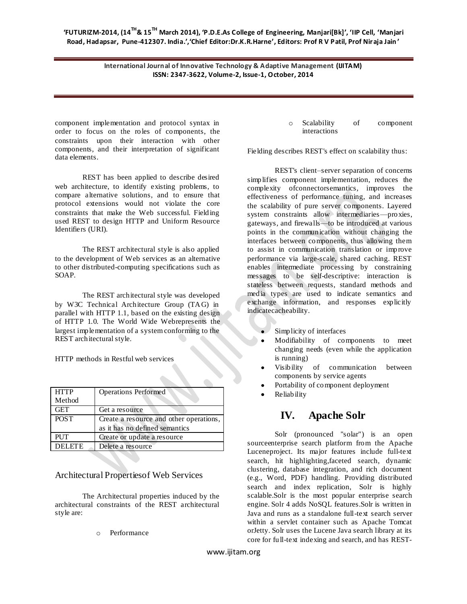**International Journal of Innovative Technology & Adaptive Management (IJITAM) ISSN: 2347-3622, Volume-2, Issue-1, October, 2014**

component implementation and protocol syntax in order to focus on the roles of components, the constraints upon their interaction with other components, and their interpretation of significant data elements.

REST has been applied to describe desired web architecture, to identify existing problems, to compare alternative solutions, and to ensure that protocol extensions would not violate the core constraints that make the Web successful. Fielding used REST to design HTTP and [Uniform Resource](http://en.wikipedia.org/wiki/Uniform_Resource_Identifier)  [Identifiers](http://en.wikipedia.org/wiki/Uniform_Resource_Identifier) (URI).

The REST architectural style is also applied to the development of [Web services](http://en.wikipedia.org/wiki/Web_services) as an alternative to other distributed-computing specifications such as [SOAP.](http://en.wikipedia.org/wiki/SOAP)

The REST architectural style was developed by [W3C](http://en.wikipedia.org/wiki/World_Wide_Web_Consortium) Technical Architecture Group (TAG) in parallel with [HTTP](http://en.wikipedia.org/wiki/Hypertext_Transfer_Protocol) 1.1, based on the existing design of HTTP 1.0. The [World Wide Webr](http://en.wikipedia.org/wiki/World_Wide_Web)epresents the largest implementation of a system conforming to the REST architectural style.

HTTP methods in Restful web services

| <b>HTTP</b>   | <b>Operations Performed</b>             |
|---------------|-----------------------------------------|
| Method        |                                         |
| <b>GET</b>    | Get a resource                          |
| <b>POST</b>   | Create a resource and other operations, |
|               | as it has no defined semantics          |
| <b>PUT</b>    | Create or update a resource             |
| <b>DELETE</b> | Delete a resource                       |

#### Architectural Propertiesof Web Services

The Architectural properties induced by the architectural constraints of the REST architectural style are:

o Performance

o [Scalability](http://en.wikipedia.org/wiki/Scalability) of component interactions

Fielding describes REST's effect on scalability thus:

REST's client–server separation of concerns simplifies component implementation, reduces the complexity o[fconnectors](http://en.wikipedia.org/w/index.php?title=Connector_%28computer_science%29&action=edit&redlink=1)emantics, improves the effectiveness of performance tuning, and increases the scalability of pure server components. Layered system constraints allow intermediaries[—proxies,](http://en.wikipedia.org/wiki/Proxy_server) [gateways,](http://en.wikipedia.org/wiki/Gateway_%28telecommunications%29) and [firewalls—](http://en.wikipedia.org/wiki/Firewall_%28computing%29)to be introduced at various points in the communication without changing the interfaces between components, thus allowing them to assist in communication translation or improve performance via large-scale, shared caching. REST enables intermediate processing by constraining messages to be self-descriptive: interaction is stateless between requests, standard methods and media types are used to indicate semantics and exchange information, and responses explicitly indicat[ecacheability.](http://en.wikipedia.org/wiki/Web_cache)

- Simplicity of [interfaces](http://en.wikipedia.org/wiki/Interface_%28computer_science%29)
- Modifiability of components to meet changing needs (even while the application is running)
- Visibility of communication between components by service agents
- [Portability](http://en.wikipedia.org/wiki/Portability) of componen[t deployment](http://en.wikipedia.org/wiki/Software_deployment)
- [Reliability](http://en.wiktionary.org/wiki/reliability)

### **IV. Apache Solr**

Solr (pronounced "solar") is an [open](http://en.wikipedia.org/wiki/Open_source)  [sourceenterprise search](http://en.wikipedia.org/wiki/Open_source) platform from the Apache [Lucenep](http://en.wikipedia.org/wiki/Lucene)roject. Its major features include [full-text](http://en.wikipedia.org/wiki/Full_text_search)  [search,](http://en.wikipedia.org/wiki/Full_text_search) hit highlighting[,faceted search,](http://en.wikipedia.org/wiki/Faceted_search) dynamic clustering, database integration, and rich document (e.g., Word, PDF) handling. Providing distributed search and index replication, Solr is highly scalable.Solr is the most popular enterprise search engine. Solr 4 adds [NoSQL](http://en.wikipedia.org/wiki/NoSQL) features.Solr is written in [Java](http://en.wikipedia.org/wiki/Java_%28programming_language%29) and runs as a standalone full-text search server within a [servlet](http://en.wikipedia.org/wiki/Servlet) container such as [Apache Tomcat](http://en.wikipedia.org/wiki/Apache_Tomcat) o[rJetty.](http://en.wikipedia.org/wiki/Jetty_%28web_server%29) Solr uses th[e Lucene](http://en.wikipedia.org/wiki/Lucene) Java search library at its core for full-text indexing and search, and has [REST-](http://en.wikipedia.org/wiki/REST)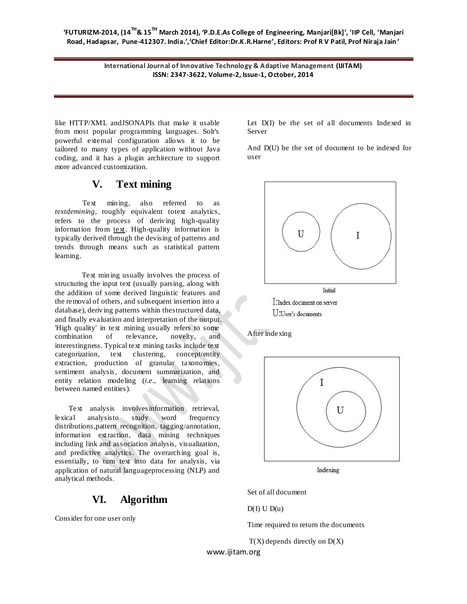**International Journal of Innovative Technology & Adaptive Management (IJITAM) ISSN: 2347-3622, Volume-2, Issue-1, October, 2014**

like [HTTP/](http://en.wikipedia.org/wiki/HTTP)[XML](http://en.wikipedia.org/wiki/XML) an[dJSONA](http://en.wikipedia.org/wiki/JSON)PIs that make it usable from most popular programming languages. Solr's powerful external configuration allows it to be tailored to many types of application without Java coding, and it has a plugin architecture to support more advanced customization.

## **V. Text mining**

Text mining, also referred to as *tex[tdemining](http://en.wikipedia.org/wiki/Data_mining)*, roughly equivalent t[otext analytics,](http://en.wikipedia.org/wiki/Text_mining#Text_mining_and_text_analytics) refers to the process of deriving high-quality [information](http://en.wikipedia.org/wiki/Information) from [text.](http://en.wikipedia.org/wiki/Plain_text) High-quality information is typically derived through the devising of patterns and trends through means such as [statistical pattern](http://en.wikipedia.org/wiki/Pattern_recognition)  [learning.](http://en.wikipedia.org/wiki/Pattern_recognition) 

Text mining usually involves the process of structuring the input text (usually parsing, along with the addition of some derived linguistic features and the removal of others, and subsequent insertion into a [database\)](http://en.wikipedia.org/wiki/Database), deriving patterns within th[estructured data,](http://en.wikipedia.org/wiki/Structured_data) and finally evaluation and interpretation of the output. 'High quality' in text mining usually refers to some combination of [relevance,](http://en.wikipedia.org/wiki/Relevance_%28information_retrieval%29) [novelty,](http://en.wikipedia.org/wiki/Novelty_%28patent%29) and interestingness. Typical text mining tasks include [text](http://en.wikipedia.org/wiki/Text_categorization)  [categorization,](http://en.wikipedia.org/wiki/Text_categorization) [text clustering,](http://en.wikipedia.org/wiki/Text_clustering) [concept/entity](http://en.wikipedia.org/wiki/Concept_mining)  [extraction,](http://en.wikipedia.org/wiki/Concept_mining) production of granular taxonomies, [sentiment analysis,](http://en.wikipedia.org/wiki/Sentiment_analysis) [document summarization,](http://en.wikipedia.org/wiki/Document_summarization) and entity relation modeling (*i.e.*, learning relations between [named entities\)](http://en.wikipedia.org/wiki/Named_entity_recognition).

Text analysis involve[sinformation retrieval,](http://en.wikipedia.org/wiki/Information_retrieval) [lexical analysist](http://en.wikipedia.org/wiki/Lexical_analysis)o study word frequency distribution[s,pattern recognition,](http://en.wikipedia.org/wiki/Pattern_recognition) [tagging](http://en.wikipedia.org/wiki/Tag_%28metadata%29)[/annotation,](http://en.wikipedia.org/wiki/Annotation) [information extraction,](http://en.wikipedia.org/wiki/Information_extraction) [data mining](http://en.wikipedia.org/wiki/Data_mining) techniques including link and association analysis, [visualization,](http://en.wikipedia.org/wiki/Information_visualization) and [predictive analytics.](http://en.wikipedia.org/wiki/Predictive_analytics) The overarching goal is, essentially, to turn text into data for analysis, via application of [natural languageprocessing](http://en.wikipedia.org/wiki/Natural_language_processing) (NLP) and analytical methods.

# **VI. Algorithm**

Consider for one user only

Let D(I) be the set of all documents Indexed in Server

And D(U) be the set of document to be indexed for user



After indexing



Indexing

Set of all document

 $D(I) U D(u)$ 

Time required to return the documents

 $T(X)$  depends directly on  $D(X)$ 

www.ijitam.org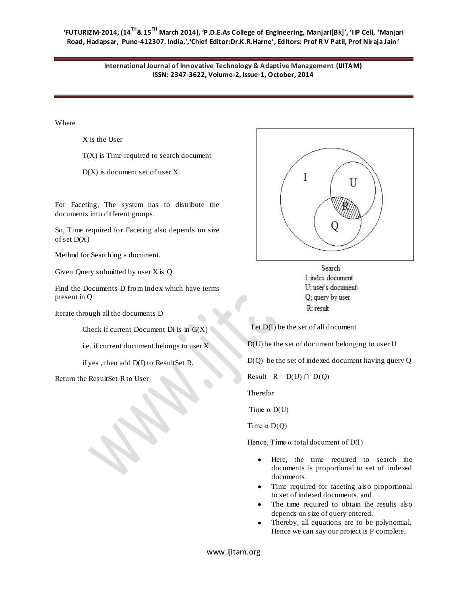**'FUTURIZM-2014, (14TH& 15TH March 2014), 'P.D.E.As College of Engineering, Manjari[Bk]', 'IIP Cell, 'Manjari Road, Hadapsar, Pune-412307. India.','Chief Editor:Dr.K.R.Harne', Editors: Prof R V Patil, Prof Niraja Jain '**

> **International Journal of Innovative Technology & Adaptive Management (IJITAM) ISSN: 2347-3622, Volume-2, Issue-1, October, 2014**

Where

X is the User

 $T(X)$  is Time required to search document

 $D(X)$  is document set of user X

For Faceting, The system has to distribute the documents into different groups.

So, Time required for Faceting also depends on size of set D(X)

Method for Searching a document.

Given Query submitted by user X is Q

Find the Documents D from Index which have terms present in Q

Iterate through all the documents D

Check if current Document Di is in  $G(X)$ 

i.e. if current document belongs to user  $\overline{X}$ 

if yes , then add D(I) to ResultSet R.

Return the ResultSet R to User



Search I: index document U: user's document Q; query by user R: result

Let D(I) be the set of all document

D(U) be the set of document belonging to user U

D(Q) be the set of indexed document having query Q

 $Result = R = D(U) \cap D(Q)$ 

Therefor

Time  $\alpha$  D(U)

Time  $\alpha$  D(Q)

Hence, Time  $\alpha$  total document of D(I)

- Here, the time required to search the  $\bullet$ documents is proportional to set of indexed documents.
- $\bullet$ Time required for faceting also proportional to set of indexed documents, and
- The time required to obtain the results also depends on size of query entered.
- Thereby, all equations are to be polynomial.  $\bullet$ Hence we can say our project is P complete.

www.ijitam.org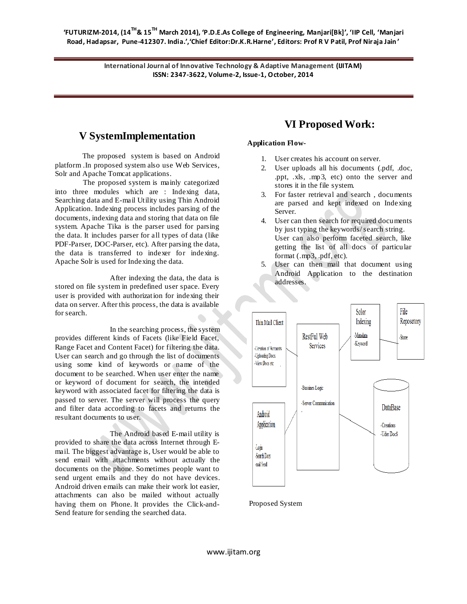**'FUTURIZM-2014, (14TH& 15TH March 2014), 'P.D.E.As College of Engineering, Manjari[Bk]', 'IIP Cell, 'Manjari Road, Hadapsar, Pune-412307. India.','Chief Editor:Dr.K.R.Harne', Editors: Prof R V Patil, Prof Niraja Jain '**

> **International Journal of Innovative Technology & Adaptive Management (IJITAM) ISSN: 2347-3622, Volume-2, Issue-1, October, 2014**

#### **V SystemImplementation**

The proposed system is based on Android platform .In proposed system also use Web Services, Solr and Apache Tomcat applications.

 The proposed system is mainly categorized into three modules which are : Indexing data, Searching data and E-mail Utility using Thin Android Application. Indexing process includes parsing of the documents, indexing data and storing that data on file system. Apache Tika is the parser used for parsing the data. It includes parser for all types of data (like PDF-Parser, DOC-Parser, etc). After parsing the data, the data is transferred to indexer for indexing. Apache Solr is used for Indexing the data.

After indexing the data, the data is stored on file system in predefined user space. Every user is provided with authorization for indexing their data on server. After this process, the data is available for search.

In the searching process, the system provides different kinds of Facets (like Field Facet, Range Facet and Content Facet) for filtering the data. User can search and go through the list of documents using some kind of keywords or name of the document to be searched. When user enter the name or keyword of document for search, the intended keyword with associated facet for filtering the data is passed to server. The server will process the query and filter data according to facets and returns the resultant documents to user.

The Android based E-mail utility is provided to share the data across Internet through Email. The biggest advantage is, User would be able to send email with attachments without actually the documents on the phone. Sometimes people want to send urgent emails and they do not have devices. Android driven emails can make their work lot easier, attachments can also be mailed without actually having them on Phone. It provides the Click-and-Send feature for sending the searched data.

### **VI Proposed Work:**

#### **Application Flow-**

- 1. User creates his account on server.
- 2. User uploads all his documents (.pdf, .doc, .ppt, .xls, .mp3, etc) onto the server and stores it in the file system.
- 3. For faster retrieval and search , documents are parsed and kept indexed on Indexing Server.
- 4. User can then search for required documents by just typing the keywords/ search string. User can also perform faceted search, like getting the list of all docs of particular format (.mp3, .pdf, etc).
- 5. User can then mail that document using Android Application to the destination addresses.



Proposed System